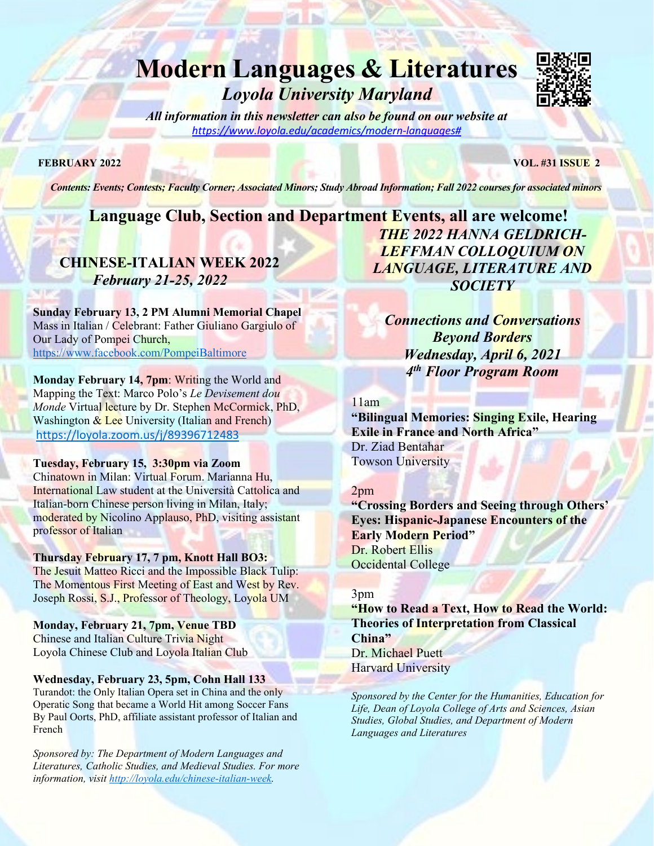# **Modern Languages & Literatures** *Loyola University Maryland*



*All information in this newsletter can also be found on our website at [https://www.loyola.edu/academics/modern-languages#](http://www.loyola.edu/academic/modernlanguages)*

**FEBRUARY 2022 VOL. #31 ISSUE 2**

*Contents: Events; Contests; Faculty Corner; Associated Minors; Study Abroad Information; Fall 2022 courses for associated minors*

# **Language Club, Section and Department Events, all are welcome!**

## **CHINESE-ITALIAN WEEK 2022** *February 21-25, 2022*

**Sunday February 13, 2 PM Alumni Memorial Chapel** Mass in Italian / Celebrant: Father Giuliano Gargiulo of Our Lady of Pompei Church, <https://www.facebook.com/PompeiBaltimore>

**Monday February 14, 7pm**: Writing the World and Mapping the Text: Marco Polo's *Le Devisement dou Monde* Virtual lecture by Dr. Stephen McCormick, PhD, Washington & Lee University (Italian and French) <https://loyola.zoom.us/j/89396712483>

#### **Tuesday, February 15, 3:30pm via Zoom**

Chinatown in Milan: Virtual Forum. Marianna Hu, International Law student at the Università Cattolica and Italian-born Chinese person living in Milan, Italy; moderated by Nicolino Applauso, PhD, visiting assistant professor of Italian

### **Thursday February 17, 7 pm, Knott Hall BO3:**

The Jesuit Matteo Ricci and the Impossible Black Tulip: The Momentous First Meeting of East and West by Rev. Joseph Rossi, S.J., Professor of Theology, Loyola UM

**Monday, February 21, 7pm, Venue TBD** Chinese and Italian Culture Trivia Night Loyola Chinese Club and Loyola Italian Club

#### **Wednesday, February 23, 5pm, Cohn Hall 133**

Turandot: the Only Italian Opera set in China and the only Operatic Song that became a World Hit among Soccer Fans By Paul Oorts, PhD, affiliate assistant professor of Italian and French

*Sponsored by: The Department of Modern Languages and Literatures, Catholic Studies, and Medieval Studies. For more information, visit [http://loyola.edu/chinese-italian-week.](http://loyola.edu/chinese-italian-week)*

*THE 2022 HANNA GELDRICH-LEFFMAN COLLOQUIUM ON LANGUAGE, LITERATURE AND SOCIETY*

*Connections and Conversations Beyond Borders Wednesday, April 6, 2021 4th Floor Program Room*

#### 11am

**"Bilingual Memories: Singing Exile, Hearing Exile in France and North Africa"** Dr. Ziad Bentahar Towson University

#### 2pm

**"Crossing Borders and Seeing through Others' Eyes: Hispanic-Japanese Encounters of the Early Modern Period"** Dr. Robert Ellis Occidental College

#### 3pm

**"How to Read a Text, How to Read the World: Theories of Interpretation from Classical China"** Dr. Michael Puett Harvard University

*Sponsored by the Center for the Humanities, Education for Life, Dean of Loyola College of Arts and Sciences, Asian Studies, Global Studies, and Department of Modern Languages and Literatures*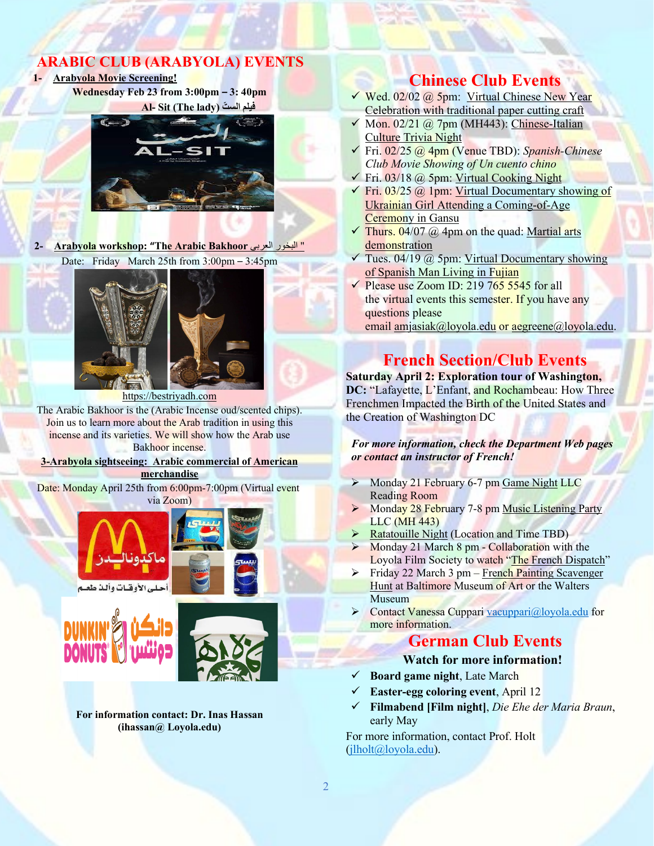## **ARABIC CLUB (ARABYOLA) EVENTS**

**1- Arabyola Movie Screening!**

**Wednesday Feb 23 from 3:00pm – 3: 40pm Al- Sit (The lady) ّالست فیلم**



**2- Arabyola workshop: "The Arabic Bakhoor** العربي البخور" Date: Friday March 25th from 3:00pm – 3:45pm



https://bestriyadh.com

The Arabic Bakhoor is the (Arabic Incense oud/scented chips). Join us to learn more about the Arab tradition in using this incense and its varieties. We will show how the Arab use Bakhoor incense.

**3-Arabyola sightseeing: Arabic commercial of American merchandise**

Date: Monday April 25th from 6:00pm-7:00pm (Virtual event via Zoom)







**For information contact: Dr. Inas Hassan (ihassan@ Loyola.edu)**

## **Chinese Club Events**

- √ Wed. 02/02 @ 5pm: Virtual Chinese New Year Celebration with traditional paper cutting craft
- Mon. 02/21 @ 7pm (MH443): Chinese-Italian Culture Trivia Night
- Fri. 02/25 @ 4pm (Venue TBD): *Spanish-Chinese Club Movie Showing of Un cuento chino*
- Fri. 03/18 @ 5pm: Virtual Cooking Night
- $\overline{\smash{\big)}\}$  Fri. 03/25 @ 1pm: Virtual Documentary showing of Ukrainian Girl Attending a Coming-of-Age Ceremony in Gansu
- $\checkmark$  Thurs. 04/07 @ 4pm on the quad: Martial arts demonstration
- Tues. 04/19 @ 5pm: Virtual Documentary showing of Spanish Man Living in Fujian
- Please use Zoom ID: 219 765 5545 for all the virtual events this semester. If you have any questions please

email [amjasiak@loyola.edu](mailto:amjasiak@loyola.edu) or [aegreene@loyola.edu.](mailto:aegreene@loyola.edu)

## **French Section/Club Events**

**Saturday April 2: Exploration tour of Washington, DC:** "Lafayette, L'Enfant, and Rochambeau: How Three Frenchmen Impacted the Birth of the United States and the Creation of Washington DC

*For more information, check the Department Web pages or contact an instructor of French!*

- Monday 21 February 6-7 pm Game Night LLC Reading Room
- Monday 28 February 7-8 pm Music Listening Party LLC (MH 443)
- $\triangleright$  Ratatouille Night (Location and Time TBD)
- $\triangleright$  Monday 21 March 8 pm Collaboration with the Loyola Film Society to watch "The French Dispatch"
- $\triangleright$  Friday 22 March 3 pm French Painting Scavenger Hunt at Baltimore Museum of Art or the Walters Museum
- Contact Vanessa Cuppar[i vacuppari@loyola.edu](mailto:vacuppari@loyola.edu) for more information.

## **German Club Events**

### **Watch for more information!**

- **Board game night**, Late March
- **Easter-egg coloring event**, April 12
- **Filmabend [Film night]**, *Die Ehe der Maria Braun*, early May

For more information, contact Prof. Holt [\(jlholt@loyola.edu\)](mailto:jlholt@loyola.edu).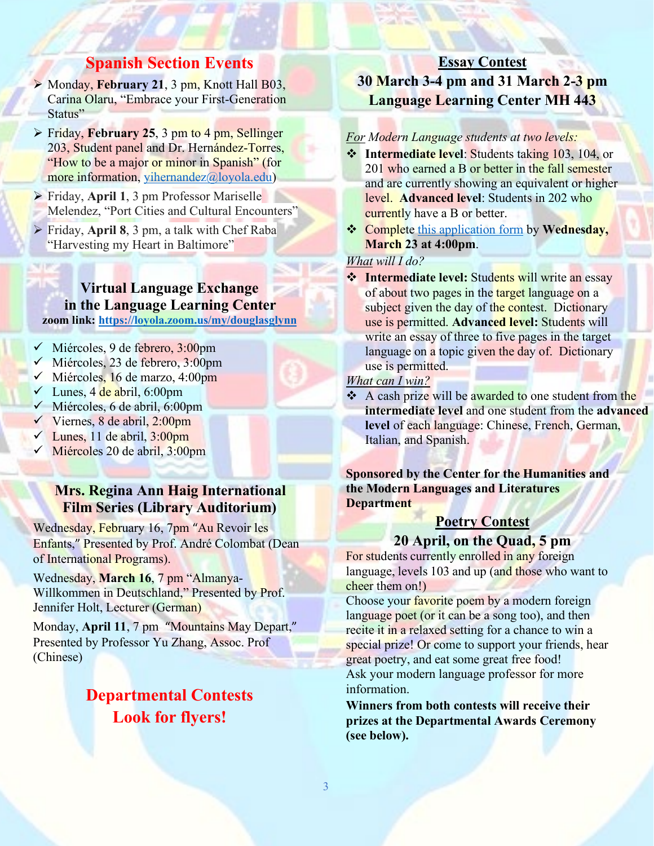## **Spanish Section Events**

- Monday, **February 21**, 3 pm, Knott Hall B03, Carina Olaru, "Embrace your First-Generation Status"
- Friday, **February 25**, 3 pm to 4 pm, Sellinger 203, Student panel and Dr. Hernández-Torres, "How to be a major or minor in Spanish" (for more information, [yihernandez@loyola.edu\)](mailto:yihernandez@loyola.edu)
- Friday, **April 1**, 3 pm Professor Mariselle Melendez, "Port Cities and Cultural Encounters"
- Friday, **April 8**, 3 pm, a talk with Chef Raba "Harvesting my Heart in Baltimore"

**Virtual Language Exchange in the Language Learning Center zoom link:<https://loyola.zoom.us/my/douglasglynn>**

- $\checkmark$  Miércoles, 9 de febrero, 3:00pm
- $\checkmark$  Miércoles, 23 de febrero, 3:00pm
- $\checkmark$  Miércoles, 16 de marzo, 4:00pm
- $\checkmark$  Lunes, 4 de abril, 6:00pm
- $\checkmark$  Miércoles, 6 de abril, 6:00pm
- $\checkmark$  Viernes, 8 de abril, 2:00pm
- $\checkmark$  Lunes, 11 de abril, 3:00pm
- Miércoles 20 de abril, 3:00pm

## **Mrs. Regina Ann Haig International Film Series (Library Auditorium)**

Wednesday, February 16, 7pm "Au Revoir les Enfants," Presented by Prof. André Colombat (Dean of International Programs).

Wednesday, **March 16**, 7 pm "Almanya-Willkommen in Deutschland," Presented by Prof. Jennifer Holt, Lecturer (German)

Monday, **April 11**, 7 pm "Mountains May Depart," Presented by Professor Yu Zhang, Assoc. Prof (Chinese)

# **Departmental Contests Look for flyers!**

## **Essay Contest 30 March 3-4 pm and 31 March 2-3 pm Language Learning Center MH 443**

### *For Modern Language students at two levels:*

- **<sup>❖</sup>** Intermediate level: Students taking 103, 104, or 201 who earned a B or better in the fall semester and are currently showing an equivalent or higher level. **Advanced level**: Students in 202 who currently have a B or better.
- Complete [this application form](https://forms.gle/YU4w6Cr64dim2FWq6) by **Wednesday, March 23 at 4:00pm**.

### *What will I do?*

**Intermediate level:** Students will write an essay of about two pages in the target language on a subject given the day of the contest. Dictionary use is permitted. **Advanced level:** Students will write an essay of three to five pages in the target language on a topic given the day of. Dictionary use is permitted.

### *What can I win?*

A cash prize will be awarded to one student from the **intermediate level** and one student from the **advanced**  level of each language: Chinese, French, German, Italian, and Spanish.

**Sponsored by the Center for the Humanities and the Modern Languages and Literatures Department**

## **Poetry Contest**

### **20 April, on the Quad, 5 pm**

For students currently enrolled in any foreign language, levels 103 and up (and those who want to cheer them on!)

Choose your **favorite** poem by a modern foreign language poet (or it can be a song too), and then recite it in a relaxed setting for a chance to win a special prize! Or come to support your friends, hear great poetry, and eat some great free food! Ask your modern language professor for more information.

**Winners from both contests will receive their prizes at the Departmental Awards Ceremony (see below).**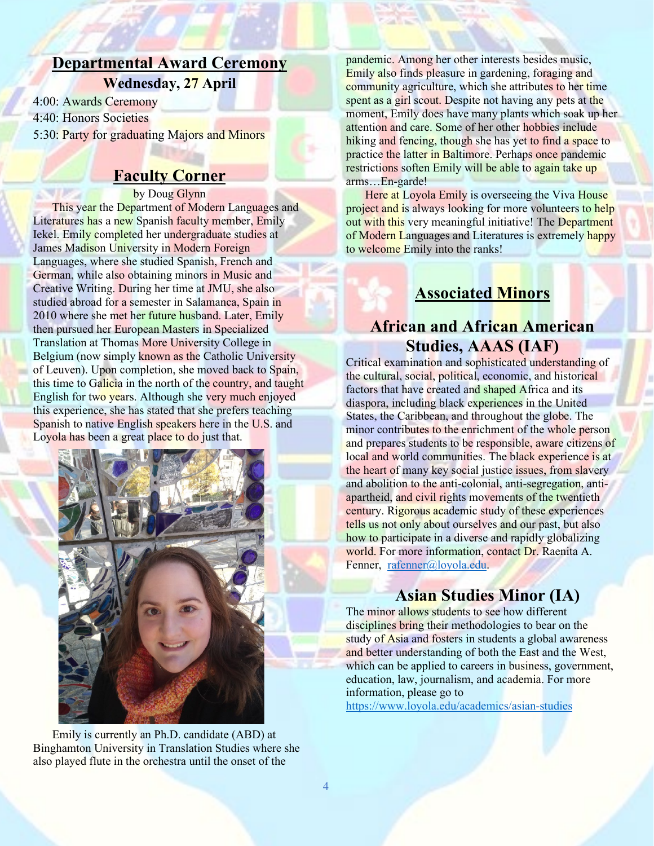# **Departmental Award Ceremony**

**Wednesday, 27 April**

4:00: Awards Ceremony

4:40: Honors Societies

5:30: Party for graduating Majors and Minors

# **Faculty Corner**

#### by Doug Glynn

This year the Department of Modern Languages and Literatures has a new Spanish faculty member, Emily Iekel. Emily completed her undergraduate studies at James Madison University in Modern Foreign Languages, where she studied Spanish, French and German, while also obtaining minors in Music and Creative Writing. During her time at JMU, she also studied abroad for a semester in Salamanca, Spain in 2010 where she met her future husband. Later, Emily then pursued her European Masters in Specialized Translation at Thomas More University College in Belgium (now simply known as the Catholic University of Leuven). Upon completion, she moved back to Spain, this time to Galicia in the north of the country, and taught English for two years. Although she very much enjoyed this experience, she has stated that she prefers teaching Spanish to native English speakers here in the U.S. and Loyola has been a great place to do just that.



Emily is currently an Ph.D. candidate (ABD) at Binghamton University in Translation Studies where she also played flute in the orchestra until the onset of the

pandemic. Among her other interests besides music, Emily also finds pleasure in gardening, foraging and community agriculture, which she attributes to her time spent as a girl scout. Despite not having any pets at the moment, Emily does have many plants which soak up her attention and care. Some of her other hobbies include hiking and fencing, though she has yet to find a space to practice the latter in Baltimore. Perhaps once pandemic restrictions soften Emily will be able to again take up arms…En-garde!

Here at Loyola Emily is overseeing the Viva House project and is always looking for more volunteers to help out with this very meaningful initiative! The Department of Modern Languages and Literatures is extremely happy to welcome Emily into the ranks!

# **Associated Minors**

## **African and African American Studies, AAAS (IAF)**

Critical examination and sophisticated understanding of the cultural, social, political, economic, and historical factors that have created and shaped Africa and its diaspora, including black experiences in the United States, the Caribbean, and throughout the globe. The minor contributes to the enrichment of the whole person and prepares students to be responsible, aware citizens of local and world communities. The black experience is at the heart of many key social justice issues, from slavery and abolition to the anti-colonial, anti-segregation, antiapartheid, and civil rights movements of the twentieth century. Rigorous academic study of these experiences tells us not only about ourselves and our past, but also how to participate in a diverse and rapidly globalizing world. For more information, contact Dr. Raenita A. Fenner, [rafenner@loyola.edu.](mailto:rafenner@loyola.edu)

## **Asian Studies Minor (IA)**

The minor allows students to see how different disciplines bring their methodologies to bear on the study of Asia and fosters in students a global awareness and better understanding of both the East and the West, which can be applied to careers in business, government, education, law, journalism, and academia. For more information, please go to <https://www.loyola.edu/academics/asian-studies>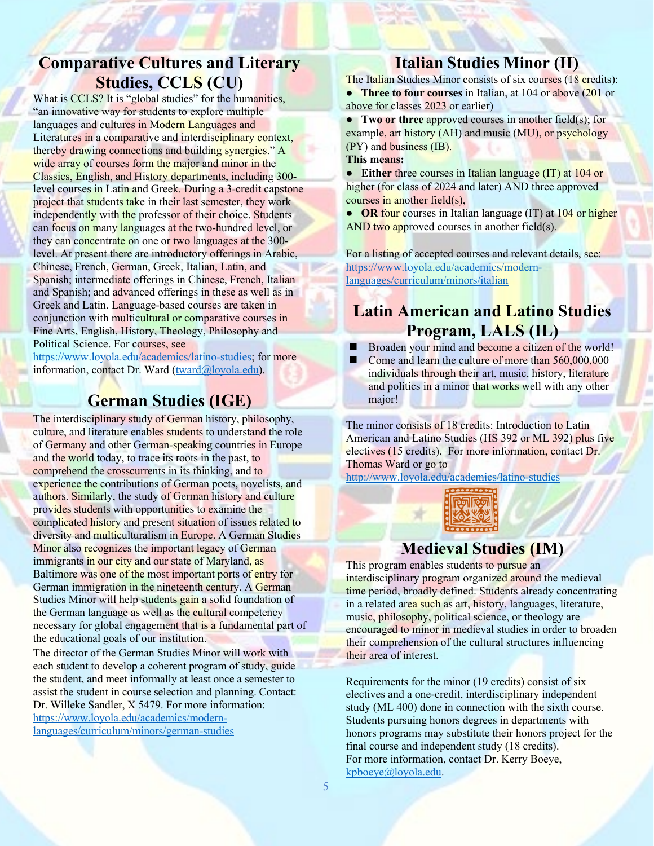## **Comparative Cultures and Literary Studies, CCLS (CU)**

What is CCLS? It is "global studies" for the humanities, "an innovative way for students to explore multiple languages and cultures in Modern Languages and Literatures in a comparative and interdisciplinary context, thereby drawing connections and building synergies." A wide array of courses form the major and minor in the Classics, English, and History departments, including 300 level courses in Latin and Greek. During a 3-credit capstone project that students take in their last semester, they work independently with the professor of their choice. Students can focus on many languages at the two-hundred level, or they can concentrate on one or two languages at the 300level. At present there are introductory offerings in Arabic, Chinese, French, German, Greek, Italian, Latin, and Spanish; intermediate offerings in Chinese, French, Italian and Spanish; and advanced offerings in these as well as in Greek and Latin. Language-based courses are taken in conjunction with multicultural or comparative courses in Fine Arts, English, History, Theology, Philosophy and Political Science. For courses, see

[https://www.loyola.edu/academics/latino-studies;](https://www.loyola.edu/academics/latino-studies) for more information, contact Dr. Ward [\(tward@loyola.edu\)](mailto:tward@loyola.edu).

# **German Studies (IGE)**

The interdisciplinary study of German history, philosophy, culture, and literature enables students to understand the role of Germany and other German-speaking countries in Europe and the world today, to trace its roots in the past, to comprehend the crosscurrents in its thinking, and to experience the contributions of German poets, novelists, and authors. Similarly, the study of German history and culture provides students with opportunities to examine the complicated history and present situation of issues related to diversity and multiculturalism in Europe. A German Studies Minor also recognizes the important legacy of German immigrants in our city and our state of Maryland, as Baltimore was one of the most important ports of entry for German immigration in the nineteenth century. A German Studies Minor will help students gain a solid foundation of the German language as well as the cultural competency necessary for global engagement that is a fundamental part of the educational goals of our institution.

The director of the German Studies Minor will work with each student to develop a coherent program of study, guide the student, and meet informally at least once a semester to assist the student in course selection and planning. Contact: Dr. Willeke Sandler, X 5479. For more information: [https://www.loyola.edu/academics/modern](https://www.loyola.edu/academics/modern-languages/curriculum/minors/german-studies)[languages/curriculum/minors/german-studies](https://www.loyola.edu/academics/modern-languages/curriculum/minors/german-studies)

## **Italian Studies Minor (II)**

The Italian Studies Minor consists of six courses (18 credits): **● Three to four courses** in Italian, at 104 or above (201 or above for classes 2023 or earlier)

**● Two or three** approved courses in another field(s); for example, art history (AH) and music (MU), or psychology (PY) and business (IB).

#### **This means:**

**● Either** three courses in Italian language (IT) at 104 or higher (for class of 2024 and later) AND three approved courses in another field(s),

**● OR** four courses in Italian language (IT) at 104 or higher AND two approved courses in another field(s).

For a listing of accepted courses and relevant details, see: [https://www.loyola.edu/academics/modern](https://www.loyola.edu/academics/modern-languages/curriculum/minors/italian)[languages/curriculum/minors/italian](https://www.loyola.edu/academics/modern-languages/curriculum/minors/italian)

# **Latin American and Latino Studies Program, LALS (IL)**

- Broaden your mind and become a citizen of the world!
- Come and learn the culture of more than 560,000,000 individuals through their art, music, history, literature and politics in a minor that works well with any other major!

The minor consists of 18 credits: Introduction to Latin American and Latino Studies (HS 392 or ML 392) plus five electives (15 credits). For more information, contact Dr. Thomas Ward or go to

<http://www.loyola.edu/academics/latino-studies>



## **Medieval Studies (IM)**

This program enables students to pursue an interdisciplinary program organized around the medieval time period, broadly defined. Students already concentrating in a related area such as art, history, languages, literature, music, philosophy, political science, or theology are encouraged to minor in medieval studies in order to broaden their comprehension of the cultural structures influencing their area of interest.

Requirements for the minor (19 credits) consist of six electives and a one-credit, interdisciplinary independent study (ML 400) done in connection with the sixth course. Students pursuing honors degrees in departments with honors programs may substitute their honors project for the final course and independent study (18 credits). For more information, contact Dr. Kerry Boeye, [kpboeye@loyola.edu.](mailto:kpboeye@loyola.edu)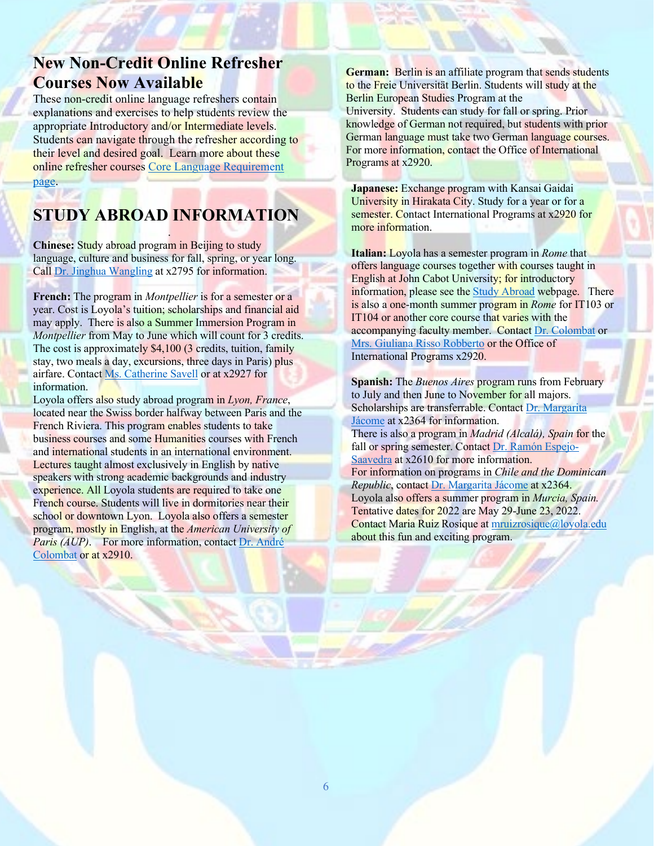## **New Non-Credit Online Refresher Courses Now Available**

These non-credit online language refreshers contain explanations and exercises to help students review the appropriate Introductory and/or Intermediate levels. Students can navigate through the refresher according to their level and desired goal. Learn more about these online refresher courses [Core Language Requirement](https://www.loyola.edu/academics/modern-languages/curriculum/core-language-requirement)  [page.](https://www.loyola.edu/academics/modern-languages/curriculum/core-language-requirement)

## **STUDY ABROAD INFORMATION** .

**Chinese:** Study abroad program in Beijing to study language, culture and business for fall, spring, or year long. Call [Dr. Jinghua Wangling](mailto:jwangling@loyola.edu) at x2795 for information.

**French:** The program in *Montpellier* is for a semester or a year. Cost is Loyola's tuition; scholarships and financial aid may apply. There is also a Summer Immersion Program in *Montpellier* from May to June which will count for 3 credits. The cost is approximately \$4,100 (3 credits, tuition, family stay, two meals a day, excursions, three days in Paris) plus airfare. Contact [Ms. Catherine Savell](mailto:csavell@loyola.edu) or at x2927 for information.

Loyola offers also study abroad program in *Lyon, France*, located near the Swiss border halfway between Paris and the French Riviera. This program enables students to take business courses and some Humanities courses with French and international students in an international environment. Lectures taught almost exclusively in English by native speakers with strong academic backgrounds and industry experience. All Loyola students are required to take one French course. Students will live in dormitories near their school or downtown Lyon. Loyola also offers a semester program, mostly in English, at the *American University of Paris (AUP)*. For more information, contac[t Dr. André](mailto:acolombat@loyola.edu)  [Colombat](mailto:acolombat@loyola.edu) or at x2910.

**German:** Berlin is an affiliate program that sends students to the Freie Universität Berlin. Students will study at the Berlin European Studies Program at the University. Students can study for fall or spring. Prior knowledge of German not required, but students with prior German language must take two German language courses. For more information, contact the Office of International Programs at x2920.

**Japanese:** Exchange program with Kansai Gaidai University in Hirakata City. Study for a year or for a semester. Contact International Programs at x2920 for more information.

**Italian:** Loyola has a semester program in *Rome* that offers language courses together with courses taught in English at John Cabot University; for introductory information, please see the [Study Abroad](https://www.loyola.edu/department/international-programs/locations/programs/rome) webpage. There is also a one-month summer program in *Rome* for IT103 or IT104 or another core course that varies with the accompanying faculty member. Contact [Dr. Colombat](mailto:acolombat@loyola.edu) or [Mrs. Giuliana Risso Robberto](mailto:grissorobberto@loyola.edu) or the Office of International Programs x2920.

**Spanish:** The *Buenos Aires* program runs from February to July and then June to November for all majors. Scholarships are transferrable. Contac[t Dr. Margarita](mailto:mjacome@loyola.edu)  [Jácome](mailto:mjacome@loyola.edu) at x2364 for information. There is also a program in *Madrid (Alcalá), Spain* for the fall or spring semester. Contac[t Dr. Ramón Espejo-](mailto:respejo@loyola.edu)[Saavedra](mailto:respejo@loyola.edu) at x2610 for more information. For information on programs in *Chile and the Dominican Republic*, contac[t Dr. Margarita Jácome](mailto:mjacome@loyola.edu) at x2364. Loyola also offers a summer program in *Murcia, Spain.*  Tentative dates for 2022 are May 29-June 23, 2022. Contact Maria Ruiz Rosique at [mruizrosique@loyola.edu](mailto:mruizrosique@loyola.edu) about this fun and exciting program.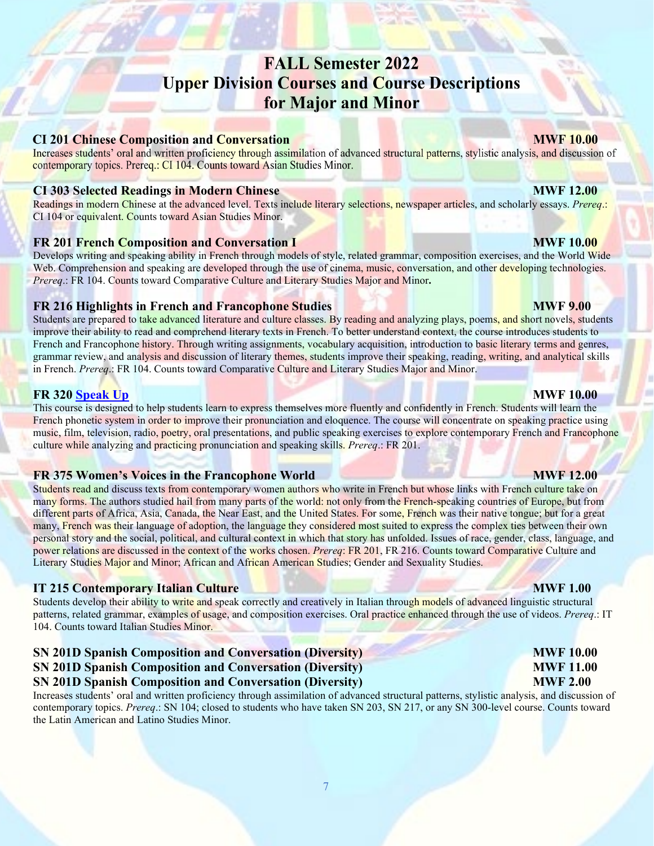# **FALL Semester 2022 Upper Division Courses and Course Descriptions** for Major and Minor

### **CI 201 Chinese Composition and Conversation**

Increases students' oral and written proficiency through assimilation of advanced structural patterns, stylistic analysis, and discussion of contemporary topics. Prereq.: CI 104. Counts toward Asian Studies Minor.

#### **CI 303 Selected Readings in Modern Chinese MWF 12.00**

Readings in modern Chinese at the advanced level. Texts include literary selections, newspaper articles, and scholarly essays. *Prereq*.: CI 104 or equivalent. Counts toward Asian Studies Minor.

#### **FR 201 French Composition and Conversation I MWF 10.00 MWF 10.00**

Develops writing and speaking ability in French through models of style, related grammar, composition exercises, and the World Wide Web. Comprehension and speaking are developed through the use of cinema, music, conversation, and other developing technologies. *Prereq*.: FR 104. Counts toward Comparative Culture and Literary Studies Major and Minor**.**

### **FR 216 Highlights in French and Francophone Studies MWF 9.00**

Students are prepared to take advanced literature and culture classes. By reading and analyzing plays, poems, and short novels, students improve their ability to read and comprehend literary texts in French. To better understand context, the course introduces students to French and Francophone history. Through writing assignments, vocabulary acquisition, introduction to basic literary terms and genres, grammar review, and analysis and discussion of literary themes, students improve their speaking, reading, writing, and analytical skills in French. *Prereq*.: FR 104. Counts toward Comparative Culture and Literary Studies Major and Minor.

#### **FR 320 [Speak Up](https://www.smore.com/x9gzn) MWF 10.00**

This course is designed to help students learn to express themselves more fluently and confidently in French. Students will learn the French phonetic system in order to improve their pronunciation and eloquence. The course will concentrate on speaking practice using music, film, television, radio, poetry, oral presentations, and public speaking exercises to explore contemporary French and Francophone culture while analyzing and practicing pronunciation and speaking skills. *Prereq*.: FR 201.

#### **FR 375 Women's Voices in the Francophone World <b>MWF 12.00** MWF 12.00

Students read and discuss texts from contemporary women authors who write in French but whose links with French culture take on many forms. The authors studied hail from many parts of the world: not only from the French-speaking countries of Europe, but from different parts of Africa, Asia, Canada, the Near East, and the United States. For some, French was their native tongue; but for a great many, French was their language of adoption, the language they considered most suited to express the complex ties between their own personal story and the social, political, and cultural context in which that story has unfolded. Issues of race, gender, class, language, and power relations are discussed in the context of the works chosen. *Prereq*: FR 201, FR 216. Counts toward Comparative Culture and Literary Studies Major and Minor; African and African American Studies; Gender and Sexuality Studies.

### **IT 215 Contemporary Italian Culture MWF 1.00**

Students develop their ability to write and speak correctly and creatively in Italian through models of advanced linguistic structural patterns, related grammar, examples of usage, and composition exercises. Oral practice enhanced through the use of videos. *Prereq*.: IT 104. Counts toward Italian Studies Minor.

### **SN 201D Spanish Composition and Conversation (Diversity) MWF 10.00 SN 201D Spanish Composition and Conversation (Diversity) MWF 11.00 SN 201D Spanish Composition and Conversation (Diversity) MWF 2.00**

Increases students' oral and written proficiency through assimilation of advanced structural patterns, stylistic analysis, and discussion of contemporary topics. *Prereq*.: SN 104; closed to students who have taken SN 203, SN 217, or any SN 300-level course. Counts toward the Latin American and Latino Studies Minor.

**MWF 10.00** 

#### 7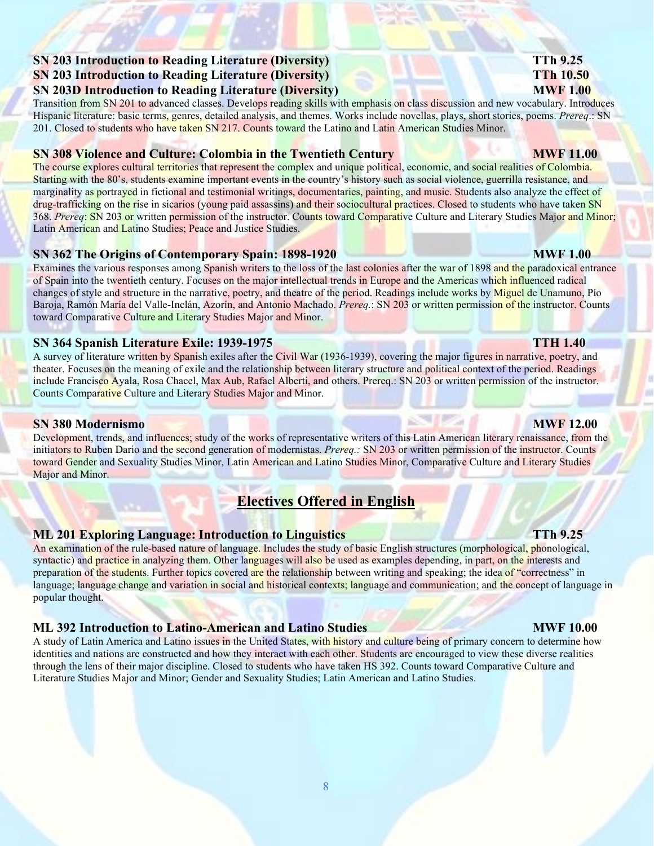### **SN 203 Introduction to Reading Literature (Diversity) TTh 9.25 SN 203 Introduction to Reading Literature (Diversity) TTh 10.50 SN 203D Introduction to Reading Literature (Diversity) <b>MWF** 1.00

Transition from SN 201 to advanced classes. Develops reading skills with emphasis on class discussion and new vocabulary. Introduces Hispanic literature: basic terms, genres, detailed analysis, and themes. Works include novellas, plays, short stories, poems. *Prereq*.: SN 201. Closed to students who have taken SN 217. Counts toward the Latino and Latin American Studies Minor.

### **SN 308 Violence and Culture: Colombia in the Twentieth Century <b>MWF 11.00 MWF 11.00**

The course explores cultural territories that represent the complex and unique political, economic, and social realities of Colombia. Starting with the 80's, students examine important events in the country's history such as social violence, guerrilla resistance, and marginality as portrayed in fictional and testimonial writings, documentaries, painting, and music. Students also analyze the effect of drug-trafficking on the rise in sicarios (young paid assassins) and their sociocultural practices. Closed to students who have taken SN 368. *Prereq*: SN 203 or written permission of the instructor. Counts toward Comparative Culture and Literary Studies Major and Minor; Latin American and Latino Studies; Peace and Justice Studies.

### **SN 362 The Origins of Contemporary Spain: 1898-1920 MWF 1.00**

Examines the various responses among Spanish writers to the loss of the last colonies after the war of 1898 and the paradoxical entrance of Spain into the twentieth century. Focuses on the major intellectual trends in Europe and the Americas which influenced radical changes of style and structure in the narrative, poetry, and theatre of the period. Readings include works by Miguel de Unamuno, Pío Baroja, Ramón María del Valle-Inclán, Azorín, and Antonio Machado. *Prereq.*: SN 203 or written permission of the instructor. Counts toward Comparative Culture and Literary Studies Major and Minor.

### **SN 364 Spanish Literature Exile: 1939-1975 TTH 1.40**

A survey of literature written by Spanish exiles after the Civil War (1936-1939), covering the major figures in narrative, poetry, and theater. Focuses on the meaning of exile and the relationship between literary structure and political context of the period. Readings include Francisco Ayala, Rosa Chacel, Max Aub, Rafael Alberti, and others. Prereq.: SN 203 or written permission of the instructor. Counts Comparative Culture and Literary Studies Major and Minor.

### **SN 380 Modernismo MWF 12.00**

Development, trends, and influences; study of the works of representative writers of this Latin American literary renaissance, from the initiators to Ruben Dario and the second generation of modernistas. *Prereq.:* SN 203 or written permission of the instructor. Counts toward Gender and Sexuality Studies Minor, Latin American and Latino Studies Minor, Comparative Culture and Literary Studies Major and Minor.

# **Electives Offered in English**

### **ML 201 Exploring Language: Introduction to Linguistics TTh 9.25**

An examination of the rule-based nature of language. Includes the study of basic English structures (morphological, phonological, syntactic) and practice in analyzing them. Other languages will also be used as examples depending, in part, on the interests and preparation of the students. Further topics covered are the relationship between writing and speaking; the idea of "correctness" in language; language change and variation in social and historical contexts; language and communication; and the concept of language in popular thought.

### **ML 392 Introduction to Latino-American and Latino Studies MWF 10.00**

A study of Latin America and Latino issues in the United States, with history and culture being of primary concern to determine how identities and nations are constructed and how they interact with each other. Students are encouraged to view these diverse realities through the lens of their major discipline. Closed to students who have taken HS 392. Counts toward Comparative Culture and Literature Studies Major and Minor; Gender and Sexuality Studies; Latin American and Latino Studies.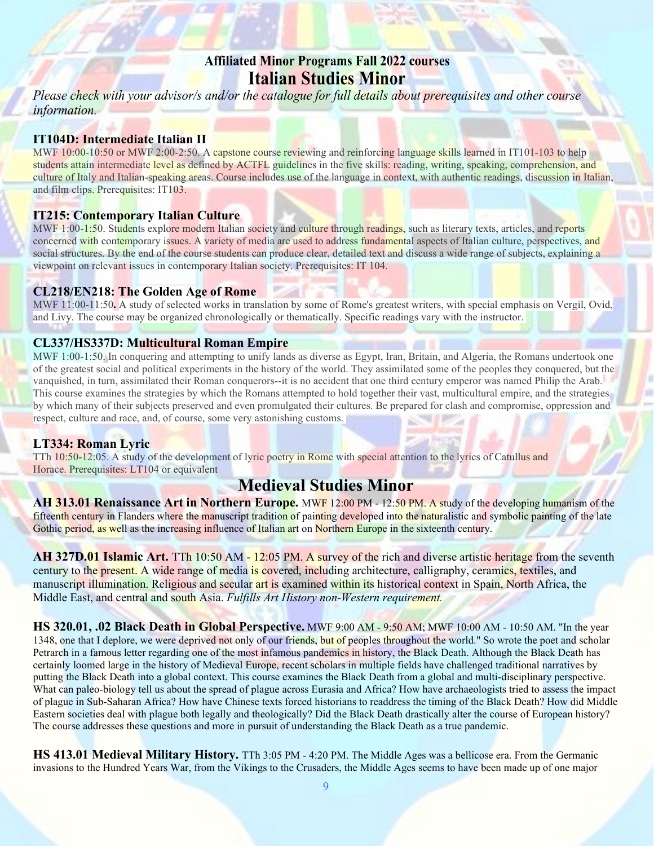## **Affiliated Minor Programs Fall 2022 courses Italian Studies Minor**

Please check with your advisor/s and/or the catalogue for full details about prerequisites and other course information.

### **IT104D: Intermediate Italian II**

MWF 10:00-10:50 or MWF 2:00-2:50. A capstone course reviewing and reinforcing language skills learned in IT101-103 to help students attain intermediate level as defined by ACTFL guidelines in the five skills: reading, writing, speaking, comprehension, and culture of Italy and Italian-speaking areas. Course includes use of the language in context, with authentic readings, discussion in Italian, and film clips. Prerequisites: IT103.

#### **IT215: Contemporary Italian Culture**

MWF 1:00-1:50. Students explore modern Italian society and culture through readings, such as literary texts, articles, and reports concerned with contemporary issues. A variety of media are used to address fundamental aspects of Italian culture, perspectives, and social structures. By the end of the course students can produce clear, detailed text and discuss a wide range of subjects, explaining a viewpoint on relevant issues in contemporary Italian society. Prerequisites: IT 104.

### **CL218/EN218: The Golden Age of Rome**

MWF 11:00-11:50**.** A study of selected works in translation by some of Rome's greatest writers, with special emphasis on Vergil, Ovid, and Livy. The course may be organized chronologically or thematically. Specific readings vary with the instructor.

### **CL337/HS337D: Multicultural Roman Empire**

MWF 1:00-1:50. In conquering and attempting to unify lands as diverse as Egypt, Iran, Britain, and Algeria, the Romans undertook one of the greatest social and political experiments in the history of the world. They assimilated some of the peoples they conquered, but the vanquished, in turn, assimilated their Roman conquerors--it is no accident that one third century emperor was named Philip the Arab. This course examines the strategies by which the Romans attempted to hold together their vast, multicultural empire, and the strategies by which many of their subjects preserved and even promulgated their cultures. Be prepared for clash and compromise, oppression and respect, culture and race, and, of course, some very astonishing customs.

### **LT334: Roman Lyric**

TTh 10:50-12:05. A study of the development of lyric poetry in Rome with special attention to the lyrics of Catullus and Horace. Prerequisites: LT104 or equivalent

## **Medieval Studies Minor**

**AH 313.01 Renaissance Art in Northern Europe.** MWF 12:00 PM - 12:50 PM. A study of the developing humanism of the fifteenth century in Flanders where the manuscript tradition of painting developed into the naturalistic and symbolic painting of the late Gothic period, as well as the increasing influence of Italian art on Northern Europe in the sixteenth century.

**AH 327D.01 Islamic Art.** TTh 10:50 AM - 12:05 PM. A survey of the rich and diverse artistic heritage from the seventh century to the present. A wide range of media is covered, including architecture, calligraphy, ceramics, textiles, and manuscript illumination. Religious and secular art is examined within its historical context in Spain, North Africa, the Middle East, and central and south Asia. *Fulfills Art History non-Western requirement.*

**HS 320.01, .02 Black Death in Global Perspective.** MWF 9:00 AM - 9:50 AM; MWF 10:00 AM - 10:50 AM. "In the year 1348, one that I deplore, we were deprived not only of our friends, but of peoples throughout the world." So wrote the poet and scholar Petrarch in a famous letter regarding one of the most infamous pandemics in history, the Black Death. Although the Black Death has certainly loomed large in the history of Medieval Europe, recent scholars in multiple fields have challenged traditional narratives by putting the Black Death into a global context. This course examines the Black Death from a global and multi-disciplinary perspective. What can paleo-biology tell us about the spread of plague across Eurasia and Africa? How have archaeologists tried to assess the impact of plague in Sub-Saharan Africa? How have Chinese texts forced historians to readdress the timing of the Black Death? How did Middle Eastern societies deal with plague both legally and theologically? Did the Black Death drastically alter the course of European history? The course addresses these questions and more in pursuit of understanding the Black Death as a true pandemic.

**HS 413.01 Medieval Military History.** TTh 3:05 PM - 4:20 PM. The Middle Ages was a bellicose era. From the Germanic invasions to the Hundred Years War, from the Vikings to the Crusaders, the Middle Ages seems to have been made up of one major